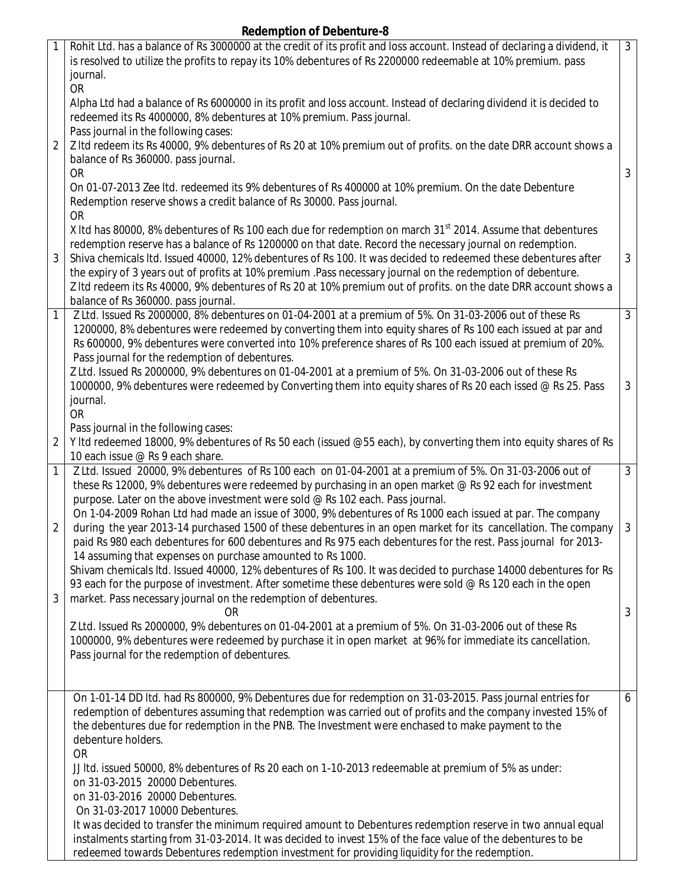## **Redemption of Debenture-8**

| 1              | Rohit Ltd. has a balance of Rs 3000000 at the credit of its profit and loss account. Instead of declaring a dividend, it<br>is resolved to utilize the profits to repay its 10% debentures of Rs 2200000 redeemable at 10% premium. pass<br>journal.<br><b>OR</b>                                                                                                                                                                                                    | 3 <sup>1</sup> |
|----------------|----------------------------------------------------------------------------------------------------------------------------------------------------------------------------------------------------------------------------------------------------------------------------------------------------------------------------------------------------------------------------------------------------------------------------------------------------------------------|----------------|
|                | Alpha Ltd had a balance of Rs 6000000 in its profit and loss account. Instead of declaring dividend it is decided to<br>redeemed its Rs 4000000, 8% debentures at 10% premium. Pass journal.<br>Pass journal in the following cases:                                                                                                                                                                                                                                 |                |
| 2              | Z Itd redeem its Rs 40000, 9% debentures of Rs 20 at 10% premium out of profits. on the date DRR account shows a<br>balance of Rs 360000. pass journal.<br><b>OR</b>                                                                                                                                                                                                                                                                                                 | 3              |
|                | On 01-07-2013 Zee Itd. redeemed its 9% debentures of Rs 400000 at 10% premium. On the date Debenture<br>Redemption reserve shows a credit balance of Rs 30000. Pass journal.<br><b>OR</b>                                                                                                                                                                                                                                                                            |                |
| 3              | X Itd has 80000, 8% debentures of Rs 100 each due for redemption on march 31 <sup>st</sup> 2014. Assume that debentures<br>redemption reserve has a balance of Rs 1200000 on that date. Record the necessary journal on redemption.<br>Shiva chemicals ltd. Issued 40000, 12% debentures of Rs 100. It was decided to redeemed these debentures after<br>the expiry of 3 years out of profits at 10% premium .Pass necessary journal on the redemption of debenture. | 3              |
|                | Z Itd redeem its Rs 40000, 9% debentures of Rs 20 at 10% premium out of profits. on the date DRR account shows a<br>balance of Rs 360000. pass journal.                                                                                                                                                                                                                                                                                                              |                |
| 1              | Z Ltd. Issued Rs 2000000, 8% debentures on 01-04-2001 at a premium of 5%. On 31-03-2006 out of these Rs<br>1200000, 8% debentures were redeemed by converting them into equity shares of Rs 100 each issued at par and<br>Rs 600000, 9% debentures were converted into 10% preference shares of Rs 100 each issued at premium of 20%.<br>Pass journal for the redemption of debentures.                                                                              | $\overline{3}$ |
|                | Z Ltd. Issued Rs 2000000, 9% debentures on 01-04-2001 at a premium of 5%. On 31-03-2006 out of these Rs<br>1000000, 9% debentures were redeemed by Converting them into equity shares of Rs 20 each issed @ Rs 25. Pass<br>journal.<br><b>OR</b>                                                                                                                                                                                                                     | 3              |
| 2              | Pass journal in the following cases:<br>Y Itd redeemed 18000, 9% debentures of Rs 50 each (issued @55 each), by converting them into equity shares of Rs<br>10 each issue @ Rs 9 each share.                                                                                                                                                                                                                                                                         |                |
| 1              | Z Ltd. Issued 20000, 9% debentures of Rs 100 each on 01-04-2001 at a premium of 5%. On 31-03-2006 out of<br>these Rs 12000, 9% debentures were redeemed by purchasing in an open market @ Rs 92 each for investment<br>purpose. Later on the above investment were sold @ Rs 102 each. Pass journal.                                                                                                                                                                 | $\mathfrak{Z}$ |
| $\overline{2}$ | On 1-04-2009 Rohan Ltd had made an issue of 3000, 9% debentures of Rs 1000 each issued at par. The company<br>during the year 2013-14 purchased 1500 of these debentures in an open market for its cancellation. The company<br>paid Rs 980 each debentures for 600 debentures and Rs 975 each debentures for the rest. Pass journal for 2013-<br>14 assuming that expenses on purchase amounted to Rs 1000.                                                         | 3              |
| 3              | Shivam chemicals Itd. Issued 40000, 12% debentures of Rs 100. It was decided to purchase 14000 debentures for Rs<br>93 each for the purpose of investment. After sometime these debentures were sold @ Rs 120 each in the open<br>market. Pass necessary journal on the redemption of debentures.                                                                                                                                                                    |                |
|                | 0R<br>Z Ltd. Issued Rs 2000000, 9% debentures on 01-04-2001 at a premium of 5%. On 31-03-2006 out of these Rs<br>1000000, 9% debentures were redeemed by purchase it in open market at 96% for immediate its cancellation.<br>Pass journal for the redemption of debentures.                                                                                                                                                                                         | 3              |
|                | On 1-01-14 DD Itd. had Rs 800000, 9% Debentures due for redemption on 31-03-2015. Pass journal entries for<br>redemption of debentures assuming that redemption was carried out of profits and the company invested 15% of<br>the debentures due for redemption in the PNB. The Investment were enchased to make payment to the<br>debenture holders.<br><b>OR</b>                                                                                                   | 6              |
|                | JJ Itd. issued 50000, 8% debentures of Rs 20 each on 1-10-2013 redeemable at premium of 5% as under:<br>on 31-03-2015 20000 Debentures.<br>on 31-03-2016 20000 Debentures.                                                                                                                                                                                                                                                                                           |                |
|                | On 31-03-2017 10000 Debentures.<br>It was decided to transfer the minimum required amount to Debentures redemption reserve in two annual equal<br>instalments starting from 31-03-2014. It was decided to invest 15% of the face value of the debentures to be<br>redeemed towards Debentures redemption investment for providing liquidity for the redemption.                                                                                                      |                |